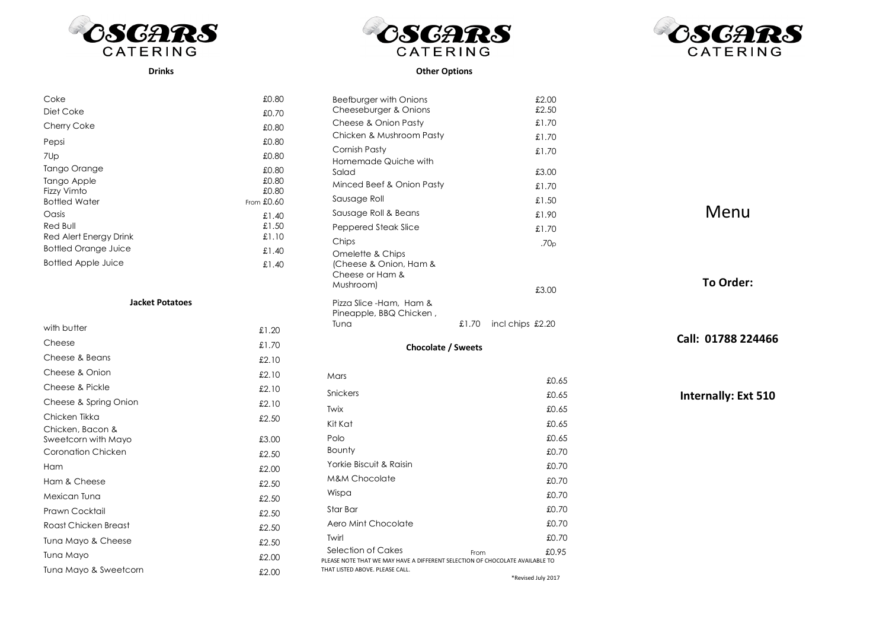



Other Options



## Drinks

| £0.80        |
|--------------|
| £0.70        |
| £0.80        |
| £0.80        |
| £0.80        |
| £0.80        |
| £0.80        |
| £0.80        |
| From $£0.60$ |
| £1.40        |
| £1.50        |
| £1.10        |
| £1.40        |
| £1.40        |
|              |

## Jacket Potatoes

| with butter                             | £1.20 |
|-----------------------------------------|-------|
| Cheese                                  | £1.70 |
| Cheese & Beans                          | £2.10 |
| Cheese & Onion                          | £2.10 |
| Cheese & Pickle                         | £2.10 |
| Cheese & Spring Onion                   | £2.10 |
| Chicken Tikka                           | £2.50 |
| Chicken, Bacon &<br>Sweetcorn with Mayo | £3.00 |
| Coronation Chicken                      | £2.50 |
| Ham                                     | £2.00 |
| Ham & Cheese                            | £2.50 |
| Mexican Tuna                            | £2.50 |
| Prawn Cocktail                          | £2.50 |
| Roast Chicken Breast                    | £2.50 |
| Tuna Mayo & Cheese                      | £2.50 |
| Tuna Mayo                               | £2.00 |
| Tuna Mayo & Sweetcorn                   | £2.00 |

| Beefburger with Onions                                                                                          |      | £2.00                    |
|-----------------------------------------------------------------------------------------------------------------|------|--------------------------|
| Cheeseburger & Onions                                                                                           |      | £2.50                    |
| Cheese & Onion Pasty                                                                                            |      | £1.70                    |
| Chicken & Mushroom Pasty                                                                                        |      | £1.70                    |
| Cornish Pasty<br>Homemade Quiche with                                                                           |      | £1.70                    |
| Salad                                                                                                           |      | £3.00                    |
| Minced Beef & Onion Pasty                                                                                       |      | £1.70                    |
| Sausage Roll                                                                                                    |      | £1.50                    |
| Sausage Roll & Beans                                                                                            |      | £1.90                    |
| Peppered Steak Slice                                                                                            |      | £1.70                    |
| Chips                                                                                                           |      | .70 <sub>p</sub>         |
| Omelette & Chips<br>(Cheese & Onion, Ham &<br>Cheese or Ham &<br>Mushroom)                                      |      | £3.00                    |
| Pizza Slice - Ham, Ham &<br>Pineapple, BBQ Chicken,<br>Tuna                                                     |      | $£1.70$ incl chips £2.20 |
| <b>Chocolate / Sweets</b>                                                                                       |      |                          |
| Mars                                                                                                            |      | £0.65                    |
| Snickers                                                                                                        |      | £0.65                    |
| Twix                                                                                                            |      | £0.65                    |
| Kit Kat                                                                                                         |      | £0.65                    |
| Polo                                                                                                            |      | £0.65                    |
| Bounty                                                                                                          |      | £0.70                    |
| Yorkie Biscuit & Raisin                                                                                         |      | £0.70                    |
| <b>M&amp;M Chocolate</b>                                                                                        |      | £0.70                    |
| Wispa                                                                                                           |      | £0.70                    |
| Star Bar                                                                                                        |      | £0.70                    |
| Aero Mint Chocolate                                                                                             |      | £0.70                    |
| Twirl                                                                                                           |      | £0.70                    |
| Selection of Cakes                                                                                              | From | £0.95                    |
| PLEASE NOTE THAT WE MAY HAVE A DIFFERENT SELECTION OF CHOCOLATE AVAILABLE TO<br>THAT LISTED ABOVE. PLEASE CALL. |      |                          |

Menu

Call: 01788 224466

To Order:

Internally: Ext 510

\*Revised July 2017